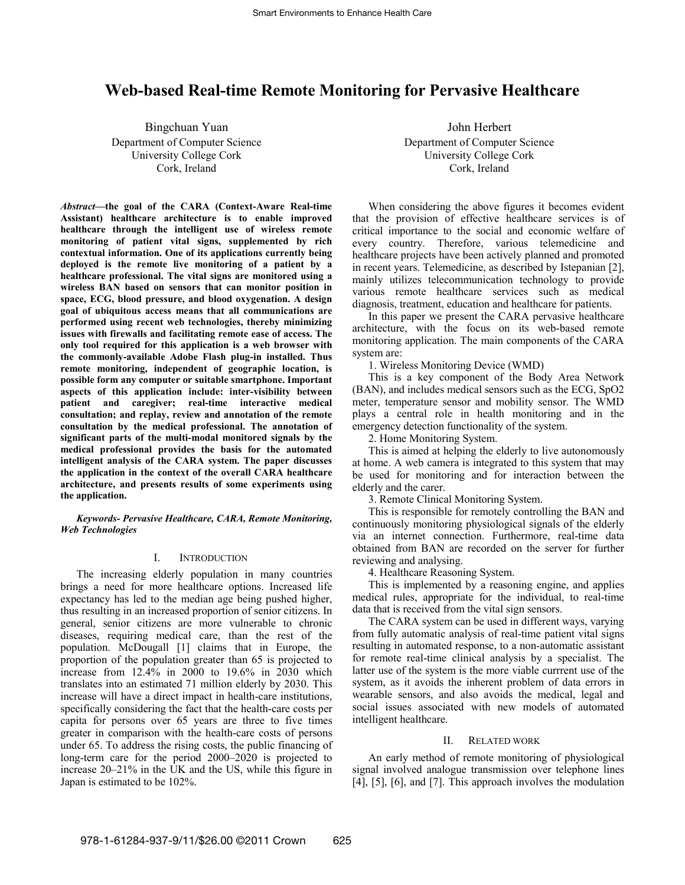# **Web-based Real-time Remote Monitoring for Pervasive Healthcare**

Bingchuan Yuan Department of Computer Science University College Cork Cork, Ireland

*Abstract***—the goal of the CARA (Context-Aware Real-time Assistant) healthcare architecture is to enable improved healthcare through the intelligent use of wireless remote monitoring of patient vital signs, supplemented by rich contextual information. One of its applications currently being deployed is the remote live monitoring of a patient by a healthcare professional. The vital signs are monitored using a wireless BAN based on sensors that can monitor position in space, ECG, blood pressure, and blood oxygenation. A design goal of ubiquitous access means that all communications are performed using recent web technologies, thereby minimizing issues with firewalls and facilitating remote ease of access. The only tool required for this application is a web browser with the commonly-available Adobe Flash plug-in installed. Thus remote monitoring, independent of geographic location, is possible form any computer or suitable smartphone. Important aspects of this application include: inter-visibility between patient and caregiver; real-time interactive medical consultation; and replay, review and annotation of the remote consultation by the medical professional. The annotation of significant parts of the multi-modal monitored signals by the medical professional provides the basis for the automated intelligent analysis of the CARA system. The paper discusses the application in the context of the overall CARA healthcare architecture, and presents results of some experiments using the application.** 

*Keywords- Pervasive Healthcare, CARA, Remote Monitoring, Web Technologies* 

# I. INTRODUCTION

The increasing elderly population in many countries brings a need for more healthcare options. Increased life expectancy has led to the median age being pushed higher, thus resulting in an increased proportion of senior citizens. In general, senior citizens are more vulnerable to chronic diseases, requiring medical care, than the rest of the population. McDougall [1] claims that in Europe, the proportion of the population greater than 65 is projected to increase from 12.4% in 2000 to 19.6% in 2030 which translates into an estimated 71 million elderly by 2030. This increase will have a direct impact in health-care institutions, specifically considering the fact that the health-care costs per capita for persons over 65 years are three to five times greater in comparison with the health-care costs of persons under 65. To address the rising costs, the public financing of long-term care for the period 2000–2020 is projected to increase 20–21% in the UK and the US, while this figure in Japan is estimated to be 102%.

John Herbert

Department of Computer Science University College Cork Cork, Ireland

When considering the above figures it becomes evident that the provision of effective healthcare services is of critical importance to the social and economic welfare of every country. Therefore, various telemedicine and healthcare projects have been actively planned and promoted in recent years. Telemedicine, as described by Istepanian [2], mainly utilizes telecommunication technology to provide various remote healthcare services such as medical diagnosis, treatment, education and healthcare for patients.

In this paper we present the CARA pervasive healthcare architecture, with the focus on its web-based remote monitoring application. The main components of the CARA system are:

1. Wireless Monitoring Device (WMD)

This is a key component of the Body Area Network (BAN), and includes medical sensors such as the ECG, SpO2 meter, temperature sensor and mobility sensor. The WMD plays a central role in health monitoring and in the emergency detection functionality of the system.

2. Home Monitoring System.

This is aimed at helping the elderly to live autonomously at home. A web camera is integrated to this system that may be used for monitoring and for interaction between the elderly and the carer.

3. Remote Clinical Monitoring System.

This is responsible for remotely controlling the BAN and continuously monitoring physiological signals of the elderly via an internet connection. Furthermore, real-time data obtained from BAN are recorded on the server for further reviewing and analysing.

4. Healthcare Reasoning System.

This is implemented by a reasoning engine, and applies medical rules, appropriate for the individual, to real-time data that is received from the vital sign sensors.

The CARA system can be used in different ways, varying from fully automatic analysis of real-time patient vital signs resulting in automated response, to a non-automatic assistant for remote real-time clinical analysis by a specialist. The latter use of the system is the more viable currrent use of the system, as it avoids the inherent problem of data errors in wearable sensors, and also avoids the medical, legal and social issues associated with new models of automated intelligent healthcare.

#### II. RELATED WORK

An early method of remote monitoring of physiological signal involved analogue transmission over telephone lines [4], [5], [6], and [7]. This approach involves the modulation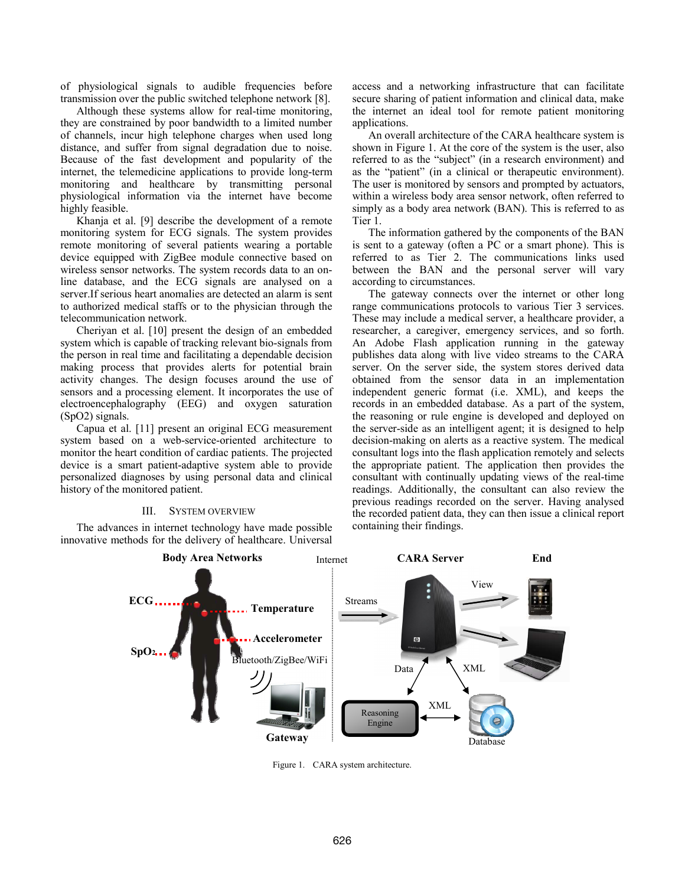of physiological signals to audible frequencies before transmission over the public switched telephone network [8].

Although these systems allow for real-time monitoring, they are constrained by poor bandwidth to a limited number of channels, incur high telephone charges when used long distance, and suffer from signal degradation due to noise. Because of the fast development and popularity of the internet, the telemedicine applications to provide long-term monitoring and healthcare by transmitting personal physiological information via the internet have become highly feasible.

Khanja et al. [9] describe the development of a remote monitoring system for ECG signals. The system provides remote monitoring of several patients wearing a portable device equipped with ZigBee module connective based on wireless sensor networks. The system records data to an online database, and the ECG signals are analysed on a server.If serious heart anomalies are detected an alarm is sent to authorized medical staffs or to the physician through the telecommunication network.

Cheriyan et al. [10] present the design of an embedded system which is capable of tracking relevant bio-signals from the person in real time and facilitating a dependable decision making process that provides alerts for potential brain activity changes. The design focuses around the use of sensors and a processing element. It incorporates the use of electroencephalography (EEG) and oxygen saturation (SpO2) signals.

Capua et al. [11] present an original ECG measurement system based on a web-service-oriented architecture to monitor the heart condition of cardiac patients. The projected device is a smart patient-adaptive system able to provide personalized diagnoses by using personal data and clinical history of the monitored patient.

# III. SYSTEM OVERVIEW

The advances in internet technology have made possible innovative methods for the delivery of healthcare. Universal access and a networking infrastructure that can facilitate secure sharing of patient information and clinical data, make the internet an ideal tool for remote patient monitoring applications.

An overall architecture of the CARA healthcare system is shown in Figure 1. At the core of the system is the user, also referred to as the "subject" (in a research environment) and as the "patient" (in a clinical or therapeutic environment). The user is monitored by sensors and prompted by actuators, within a wireless body area sensor network, often referred to simply as a body area network (BAN). This is referred to as Tier 1.

The information gathered by the components of the BAN is sent to a gateway (often a PC or a smart phone). This is referred to as Tier 2. The communications links used between the BAN and the personal server will vary according to circumstances.

The gateway connects over the internet or other long range communications protocols to various Tier 3 services. These may include a medical server, a healthcare provider, a researcher, a caregiver, emergency services, and so forth. An Adobe Flash application running in the gateway publishes data along with live video streams to the CARA server. On the server side, the system stores derived data obtained from the sensor data in an implementation independent generic format (i.e. XML), and keeps the records in an embedded database. As a part of the system, the reasoning or rule engine is developed and deployed on the server-side as an intelligent agent; it is designed to help decision-making on alerts as a reactive system. The medical consultant logs into the flash application remotely and selects the appropriate patient. The application then provides the consultant with continually updating views of the real-time readings. Additionally, the consultant can also review the previous readings recorded on the server. Having analysed the recorded patient data, they can then issue a clinical report containing their findings.



Figure 1. CARA system architecture.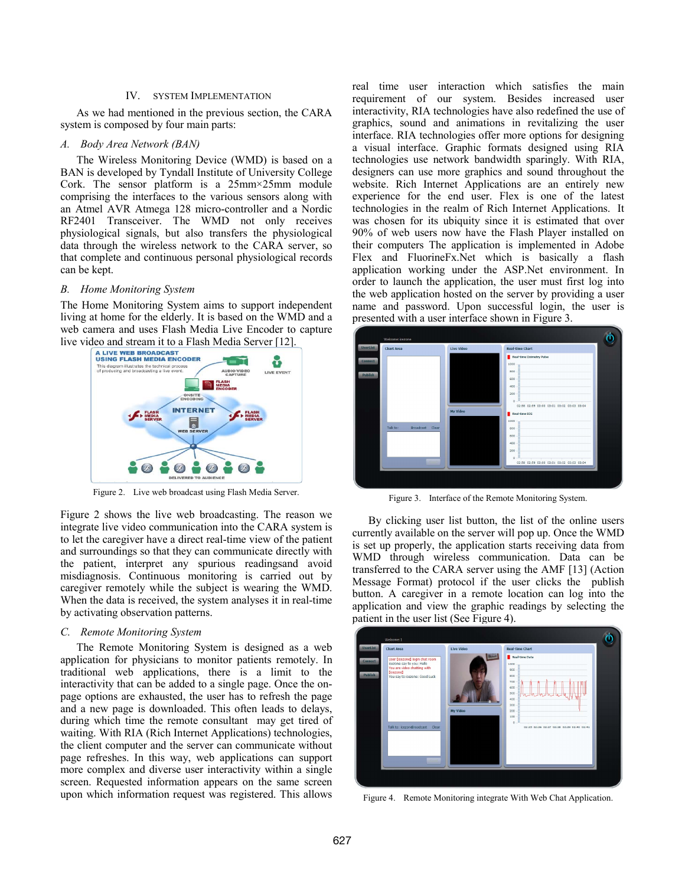#### IV. SYSTEM IMPLEMENTATION

As we had mentioned in the previous section, the CARA system is composed by four main parts:

## *A. Body Area Network (BAN)*

The Wireless Monitoring Device (WMD) is based on a BAN is developed by Tyndall Institute of University College Cork. The sensor platform is a 25mm×25mm module comprising the interfaces to the various sensors along with an Atmel AVR Atmega 128 micro-controller and a Nordic RF2401 Transceiver. The WMD not only receives physiological signals, but also transfers the physiological data through the wireless network to the CARA server, so that complete and continuous personal physiological records can be kept.

## *B. Home Monitoring System*

The Home Monitoring System aims to support independent living at home for the elderly. It is based on the WMD and a web camera and uses Flash Media Live Encoder to capture



Figure 2. Live web broadcast using Flash Media Server.

Figure 2 shows the live web broadcasting. The reason we integrate live video communication into the CARA system is to let the caregiver have a direct real-time view of the patient and surroundings so that they can communicate directly with the patient, interpret any spurious readingsand avoid misdiagnosis. Continuous monitoring is carried out by caregiver remotely while the subject is wearing the WMD. When the data is received, the system analyses it in real-time by activating observation patterns.

## *C. Remote Monitoring System*

The Remote Monitoring System is designed as a web application for physicians to monitor patients remotely. In traditional web applications, there is a limit to the interactivity that can be added to a single page. Once the onpage options are exhausted, the user has to refresh the page and a new page is downloaded. This often leads to delays, during which time the remote consultant may get tired of waiting. With RIA (Rich Internet Applications) technologies, the client computer and the server can communicate without page refreshes. In this way, web applications can support more complex and diverse user interactivity within a single screen. Requested information appears on the same screen upon which information request was registered. This allows

real time user interaction which satisfies the main requirement of our system. Besides increased user interactivity, RIA technologies have also redefined the use of graphics, sound and animations in revitalizing the user interface. RIA technologies offer more options for designing a visual interface. Graphic formats designed using RIA technologies use network bandwidth sparingly. With RIA, designers can use more graphics and sound throughout the website. Rich Internet Applications are an entirely new experience for the end user. Flex is one of the latest technologies in the realm of Rich Internet Applications. It was chosen for its ubiquity since it is estimated that over 90% of web users now have the Flash Player installed on their computers The application is implemented in Adobe Flex and FluorineFx.Net which is basically a flash application working under the ASP.Net environment. In order to launch the application, the user must first log into the web application hosted on the server by providing a user name and password. Upon successful login, the user is presented with a user interface shown in Figure 3.



Figure 3. Interface of the Remote Monitoring System.

By clicking user list button, the list of the online users currently available on the server will pop up. Once the WMD is set up properly, the application starts receiving data from WMD through wireless communication. Data can be transferred to the CARA server using the AMF [13] (Action Message Format) protocol if the user clicks the publish button. A caregiver in a remote location can log into the application and view the graphic readings by selecting the patient in the user list (See Figure 4).



Figure 4. Remote Monitoring integrate With Web Chat Application.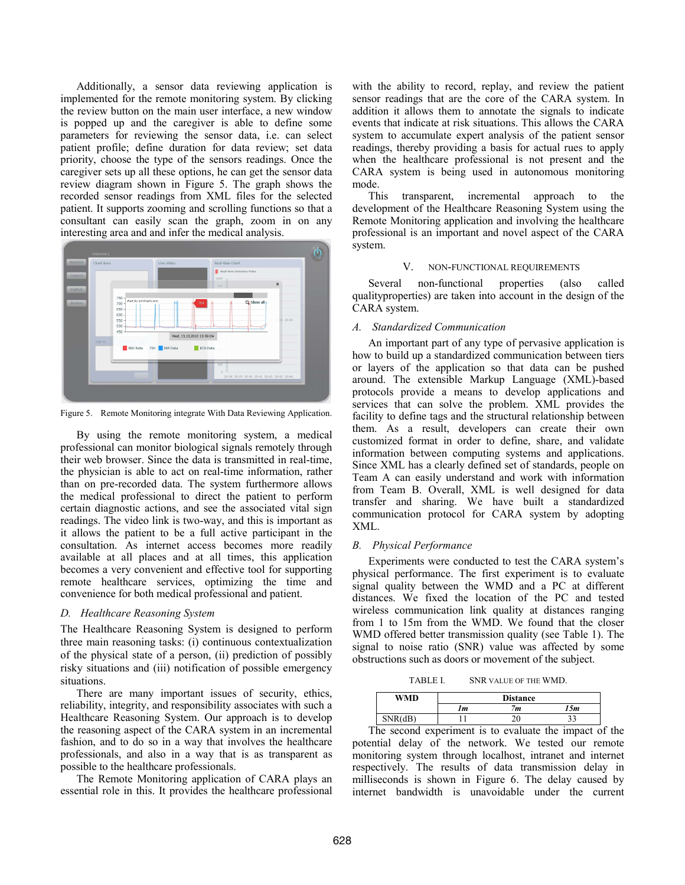Additionally, a sensor data reviewing application is implemented for the remote monitoring system. By clicking the review button on the main user interface, a new window is popped up and the caregiver is able to define some parameters for reviewing the sensor data, i.e. can select patient profile; define duration for data review; set data priority, choose the type of the sensors readings. Once the caregiver sets up all these options, he can get the sensor data review diagram shown in Figure 5. The graph shows the recorded sensor readings from XML files for the selected patient. It supports zooming and scrolling functions so that a consultant can easily scan the graph, zoom in on any interesting area and and infer the medical analysis.



Figure 5. Remote Monitoring integrate With Data Reviewing Application.

By using the remote monitoring system, a medical professional can monitor biological signals remotely through their web browser. Since the data is transmitted in real-time, the physician is able to act on real-time information, rather than on pre-recorded data. The system furthermore allows the medical professional to direct the patient to perform certain diagnostic actions, and see the associated vital sign readings. The video link is two-way, and this is important as it allows the patient to be a full active participant in the consultation. As internet access becomes more readily available at all places and at all times, this application becomes a very convenient and effective tool for supporting remote healthcare services, optimizing the time and convenience for both medical professional and patient.

# *D. Healthcare Reasoning System*

The Healthcare Reasoning System is designed to perform three main reasoning tasks: (i) continuous contextualization of the physical state of a person, (ii) prediction of possibly risky situations and (iii) notification of possible emergency situations.

There are many important issues of security, ethics, reliability, integrity, and responsibility associates with such a Healthcare Reasoning System. Our approach is to develop the reasoning aspect of the CARA system in an incremental fashion, and to do so in a way that involves the healthcare professionals, and also in a way that is as transparent as possible to the healthcare professionals.

The Remote Monitoring application of CARA plays an essential role in this. It provides the healthcare professional with the ability to record, replay, and review the patient sensor readings that are the core of the CARA system. In addition it allows them to annotate the signals to indicate events that indicate at risk situations. This allows the CARA system to accumulate expert analysis of the patient sensor readings, thereby providing a basis for actual rues to apply when the healthcare professional is not present and the CARA system is being used in autonomous monitoring mode.

This transparent, incremental approach to the development of the Healthcare Reasoning System using the Remote Monitoring application and involving the healthcare professional is an important and novel aspect of the CARA system.

# V. NON-FUNCTIONAL REQUIREMENTS

Several non-functional properties (also called qualityproperties) are taken into account in the design of the CARA system.

## *A. Standardized Communication*

An important part of any type of pervasive application is how to build up a standardized communication between tiers or layers of the application so that data can be pushed around. The extensible Markup Language (XML)-based protocols provide a means to develop applications and services that can solve the problem. XML provides the facility to define tags and the structural relationship between them. As a result, developers can create their own customized format in order to define, share, and validate information between computing systems and applications. Since XML has a clearly defined set of standards, people on Team A can easily understand and work with information from Team B. Overall, XML is well designed for data transfer and sharing. We have built a standardized communication protocol for CARA system by adopting XML.

# *B. Physical Performance*

Experiments were conducted to test the CARA system's physical performance. The first experiment is to evaluate signal quality between the WMD and a PC at different distances. We fixed the location of the PC and tested wireless communication link quality at distances ranging from 1 to 15m from the WMD. We found that the closer WMD offered better transmission quality (see Table 1). The signal to noise ratio (SNR) value was affected by some obstructions such as doors or movement of the subject.

TABLE I. SNR VALUE OF THE WMD.

| <b>WMD</b> | <b>Distance</b> |                |                    |
|------------|-----------------|----------------|--------------------|
|            | 1m              | $\frac{7m}{2}$ | 15m                |
| SNR(dB)    |                 |                | $\mathcal{L}$<br>╯ |

The second experiment is to evaluate the impact of the potential delay of the network. We tested our remote monitoring system through localhost, intranet and internet respectively. The results of data transmission delay in milliseconds is shown in Figure 6. The delay caused by internet bandwidth is unavoidable under the current